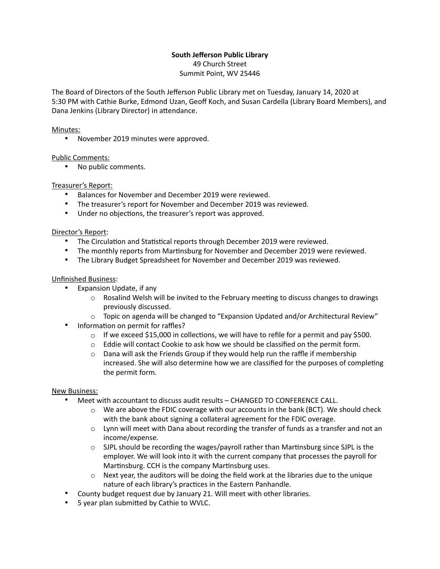# **South Jefferson Public Library**

49 Church Street Summit Point, WV 25446

The Board of Directors of the South Jefferson Public Library met on Tuesday, January 14, 2020 at 5:30 PM with Cathie Burke, Edmond Uzan, Geoff Koch, and Susan Cardella (Library Board Members), and Dana Jenkins (Library Director) in attendance.

## Minutes:

• November 2019 minutes were approved.

## Public Comments:

• No public comments.

## Treasurer's Report:

- Balances for November and December 2019 were reviewed.
- The treasurer's report for November and December 2019 was reviewed.
- Under no objections, the treasurer's report was approved.

## Director's Report:

- The Circulation and Statistical reports through December 2019 were reviewed.
- The monthly reports from Martinsburg for November and December 2019 were reviewed.
- The Library Budget Spreadsheet for November and December 2019 was reviewed.

## Unfinished Business:

- Expansion Update, if any
	- $\circ$  Rosalind Welsh will be invited to the February meeting to discuss changes to drawings previously discussed.
	- $\circ$  Topic on agenda will be changed to "Expansion Updated and/or Architectural Review"
- Information on permit for raffles?
	- $\circ$  If we exceed \$15,000 in collections, we will have to refile for a permit and pay \$500.
	- $\circ$  Eddie will contact Cookie to ask how we should be classified on the permit form.
	- $\circ$  Dana will ask the Friends Group if they would help run the raffle if membership increased. She will also determine how we are classified for the purposes of completing the permit form.

## New Business:

- Meet with accountant to discuss audit results CHANGED TO CONFERENCE CALL.
	- $\circ$  We are above the FDIC coverage with our accounts in the bank (BCT). We should check with the bank about signing a collateral agreement for the FDIC overage.
	- $\circ$  Lynn will meet with Dana about recording the transfer of funds as a transfer and not an income/expense.
	- $\circ$  SJPL should be recording the wages/payroll rather than Martinsburg since SJPL is the employer. We will look into it with the current company that processes the payroll for Martinsburg. CCH is the company Martinsburg uses.
	- $\circ$  Next year, the auditors will be doing the field work at the libraries due to the unique nature of each library's practices in the Eastern Panhandle.
- County budget request due by January 21. Will meet with other libraries.
- 5 year plan submitted by Cathie to WVLC.